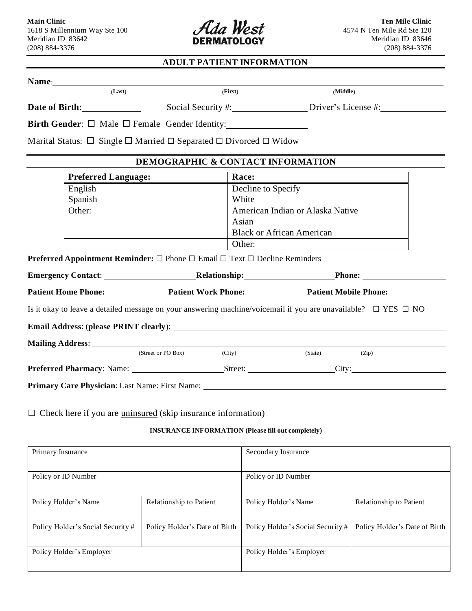

# **ADULT PATIENT INFORMATION**

| (Last)                                                                                                                                                                                                                                          | (First)                                                                                               | (Middle)                                                                                                                |
|-------------------------------------------------------------------------------------------------------------------------------------------------------------------------------------------------------------------------------------------------|-------------------------------------------------------------------------------------------------------|-------------------------------------------------------------------------------------------------------------------------|
|                                                                                                                                                                                                                                                 |                                                                                                       |                                                                                                                         |
|                                                                                                                                                                                                                                                 |                                                                                                       | Social Security #: Driver's License #:                                                                                  |
|                                                                                                                                                                                                                                                 | Birth Gender: $\Box$ Male $\Box$ Female Gender Identity:                                              |                                                                                                                         |
|                                                                                                                                                                                                                                                 |                                                                                                       |                                                                                                                         |
|                                                                                                                                                                                                                                                 | Marital Status: $\Box$ Single $\Box$ Married $\Box$ Separated $\Box$ Divorced $\Box$ Widow            |                                                                                                                         |
|                                                                                                                                                                                                                                                 | <b>DEMOGRAPHIC &amp; CONTACT INFORMATION</b>                                                          |                                                                                                                         |
| <b>Preferred Language:</b>                                                                                                                                                                                                                      | Race:                                                                                                 |                                                                                                                         |
| English                                                                                                                                                                                                                                         |                                                                                                       | Decline to Specify                                                                                                      |
| Spanish<br><u>and the state of the state of the state of the state of the state of the state of the state of the state of the state of the state of the state of the state of the state of the state of the state of the state of the state</u> | White                                                                                                 |                                                                                                                         |
| Other:                                                                                                                                                                                                                                          |                                                                                                       | American Indian or Alaska Native                                                                                        |
|                                                                                                                                                                                                                                                 | Asian                                                                                                 |                                                                                                                         |
|                                                                                                                                                                                                                                                 | <b>Black or African American</b>                                                                      |                                                                                                                         |
|                                                                                                                                                                                                                                                 | Other:                                                                                                |                                                                                                                         |
|                                                                                                                                                                                                                                                 | <b>Preferred Appointment Reminder:</b> $\Box$ Phone $\Box$ Email $\Box$ Text $\Box$ Decline Reminders |                                                                                                                         |
|                                                                                                                                                                                                                                                 |                                                                                                       |                                                                                                                         |
|                                                                                                                                                                                                                                                 |                                                                                                       | Patient Home Phone: Patient Work Phone: Patient Mobile Phone:                                                           |
|                                                                                                                                                                                                                                                 |                                                                                                       |                                                                                                                         |
|                                                                                                                                                                                                                                                 |                                                                                                       | Is it okay to leave a detailed message on your answering machine/voicemail if you are unavailable? $\Box$ YES $\Box$ NO |
|                                                                                                                                                                                                                                                 |                                                                                                       |                                                                                                                         |
| Mailing Address: National Address: National Address: National Address: National Address: National Address of Address in the Address of Address of Address of Address of Address of Address of Address of Address of Address of                  |                                                                                                       |                                                                                                                         |
| (Street or PO Box)                                                                                                                                                                                                                              | (City)                                                                                                | (State)<br>(Zip)                                                                                                        |
|                                                                                                                                                                                                                                                 |                                                                                                       |                                                                                                                         |
|                                                                                                                                                                                                                                                 |                                                                                                       |                                                                                                                         |
|                                                                                                                                                                                                                                                 |                                                                                                       |                                                                                                                         |

#### **INSURANCE INFORMATION (Please fill out completely)**

| Primary Insurance                 |                               | Secondary Insurance               |                               |
|-----------------------------------|-------------------------------|-----------------------------------|-------------------------------|
| Policy or ID Number               |                               | Policy or ID Number               |                               |
| Policy Holder's Name              | Relationship to Patient       | Policy Holder's Name              | Relationship to Patient       |
| Policy Holder's Social Security # | Policy Holder's Date of Birth | Policy Holder's Social Security # | Policy Holder's Date of Birth |
| Policy Holder's Employer          |                               | Policy Holder's Employer          |                               |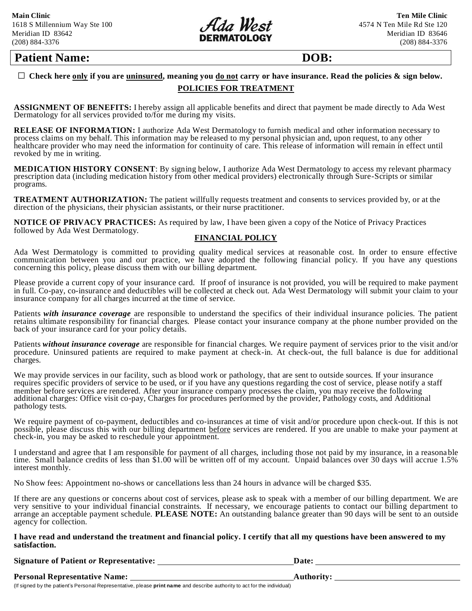

# **Patient Name: DOB:**

#### $\Box$  Check here only if you are uninsured, meaning you do not carry or have insurance. Read the policies & sign below. **POLICIES FOR TREATMENT**

**ASSIGNMENT OF BENEFITS:** I hereby assign all applicable benefits and direct that payment be made directly to Ada West Dermatology for all services provided to/for me during my visits.

**RELEASE OF INFORMATION:** I authorize Ada West Dermatology to furnish medical and other information necessary to process claims on my behalf. This information may be released to my personal physician and, upon request, to any other healthcare provider who may need the information for continuity of care. This release of information will remain in effect until revoked by me in writing.

**MEDICATION HISTORY CONSENT**: By signing below, I authorize Ada West Dermatology to access my relevant pharmacy prescription data (including medication history from other medical providers) electronically through Sure-Scripts or similar programs.

**TREATMENT AUTHORIZATION:** The patient willfully requests treatment and consents to services provided by, or at the direction of the physicians, their physician assistants, or their nurse practitioner.

**NOTICE OF PRIVACY PRACTICES:** As required by law, I have been given a copy of the Notice of Privacy Practices followed by Ada West Dermatology.

#### **FINANCIAL POLICY**

Ada West Dermatology is committed to providing quality medical services at reasonable cost. In order to ensure effective communication between you and our practice, we have adopted the following financial policy. If you have any questions concerning this policy, please discuss them with our billing department.

Please provide a current copy of your insurance card. If proof of insurance is not provided, you will be required to make payment in full. Co-pay, co-insurance and deductibles will be collected at check out. Ada West Dermatology will submit your claim to your insurance company for all charges incurred at the time of service.

Patients *with insurance coverage* are responsible to understand the specifics of their individual insurance policies. The patient retains ultimate responsibility for financial charges. Please contact your insurance company at the phone number provided on the back of your insurance card for your policy details.

Patients *without insurance coverage* are responsible for financial charges. We require payment of services prior to the visit and/or procedure. Uninsured patients are required to make payment at check-in. At check-out, the full balance is due for additional charges.

We may provide services in our facility, such as blood work or pathology, that are sent to outside sources. If your insurance requires specific providers of service to be used, or if you have any questions regarding the cost of service, please notify a staff member before services are rendered. After your insurance company processes the claim, you may receive the following additional charges: Office visit co-pay, Charges for procedures performed by the provider, Pathology costs, and Additional pathology tests.

We require payment of co-payment, deductibles and co-insurances at time of visit and/or procedure upon check-out. If this is not possible, please discuss this with our billing department before services are rendered. If you are unable to make your payment at check-in, you may be asked to reschedule your appointment.

I understand and agree that I am responsible for payment of all charges, including those not paid by my insurance, in a reasona ble time. Small balance credits of less than \$1.00 will be written off of my account. Unpaid balances over 30 days will accrue 1.5% interest monthly.

No Show fees: Appointment no-shows or cancellations less than 24 hours in advance will be charged \$35.

If there are any questions or concerns about cost of services, please ask to speak with a member of our billing department. We are very sensitive to your individual financial constraints. If necessary, we encourage patients to contact our billing department to arrange an acceptable payment schedule. **PLEASE NOTE:** An outstanding balance greater than 90 days will be sent to an outside agency for collection.

#### **I have read and understand the treatment and financial policy. I certify that all my questions have been answered to my satisfaction.**

**Signature of Patient** *or* **Representative: Date: Date: Date: 2014.** 

**Personal Representative Name: Authority:** 

(If signed by the patient's Personal Representative, please **print name** and describe authority to act for the individual)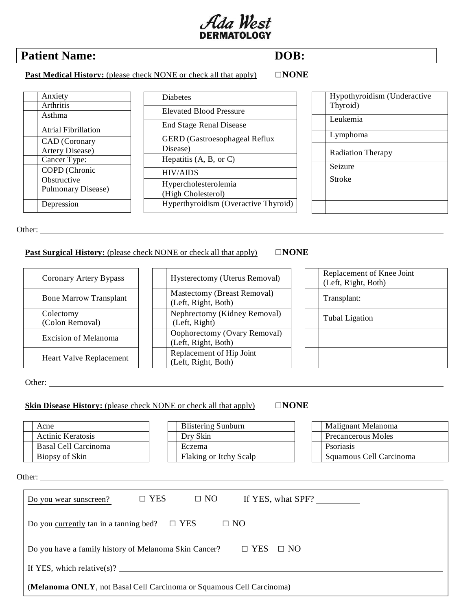

# **Patient Name: DOB:**

Anxiety Arthritis Asthma

Atrial Fibrillation CAD (Coronary Artery Disease) Cancer Type: COPD (Chronic **Obstructive** 

Pulmonary Disease)

Depression

 **Past Medical History:** (please check NONE or check all that apply) □**NONE**

Diabetes

Disease)

HIV/AIDS

Elevated Blood Pressure End Stage Renal Disease

Hepatitis (A, B, or C)

Hypercholesterolemia (High Cholesterol)

GERD (Gastroesophageal Reflux

Hyperthyroidism (Overactive Thyroid)

| Hypothyroidism (Underactive<br>Thyroid) |
|-----------------------------------------|
| Leukemia                                |
| Lymphoma                                |
| <b>Radiation Therapy</b>                |
| Seizure                                 |
| Stroke                                  |
|                                         |
|                                         |

Other:

## **Past Surgical History:** (please check NONE or check all that apply) □**NONE**

| Coronary Artery Bypass        |
|-------------------------------|
| <b>Bone Marrow Transplant</b> |
| Colectomy<br>(Colon Removal)  |
| <b>Excision of Melanoma</b>   |
| Heart Valve Replacement       |

Hysterectomy (Uterus Removal) Mastectomy (Breast Removal) (Left, Right, Both) Nephrectomy (Kidney Removal) (Left, Right) Oophorectomy (Ovary Removal) (Left, Right, Both) Replacement of Hip Joint (Left, Right, Both)

# Replacement of Knee Joint (Left, Right, Both) Transplant: Tubal Ligation

Other:

### **Skin Disease History:** (please check NONE or check all that apply) □**NONE**

| Dry Skin               | Precancerous Moles      |
|------------------------|-------------------------|
| Eczema                 | Psoriasis               |
| Flaking or Itchy Scalp | Squamous Cell Carcinoma |
| $\Box$ YES             | If YES, what SPF?       |
|                        |                         |
|                        |                         |
|                        | $\Box$ NO               |

If YES, which relative(s)?

(**Melanoma ONLY**, not Basal Cell Carcinoma or Squamous Cell Carcinoma)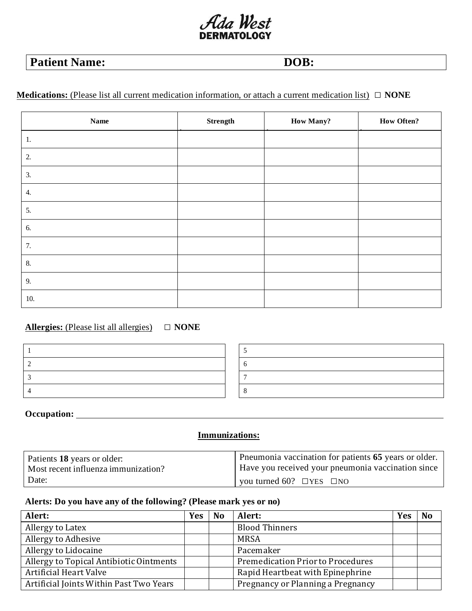# Ada West

# **Patient Name: DOB:**

# **Medications:** (Please list all current medication information, or attach a current medication list) **□ NONE**

| Name | Strength | <b>How Many?</b> | <b>How Often?</b> |
|------|----------|------------------|-------------------|
| 1.   |          |                  |                   |
| 2.   |          |                  |                   |
| 3.   |          |                  |                   |
| 4.   |          |                  |                   |
| 5.   |          |                  |                   |
| 6.   |          |                  |                   |
| 7.   |          |                  |                   |
| 8.   |          |                  |                   |
| 9.   |          |                  |                   |
| 10.  |          |                  |                   |

# **Allergies:** (Please list all allergies) **□ NONE**

# **Occupation:**

# **Immunizations:**

| Patients 18 years or older:         | Pneumonia vaccination for patients 65 years or older. |
|-------------------------------------|-------------------------------------------------------|
| Most recent influenza immunization? | Have you received your pneumonia vaccination since    |
| Date:                               | $\vert$ you turned 60? $\Box$ YES $\Box$ NO           |

# **Alerts: Do you have any of the following? (Please mark yes or no)**

| Alert:                                  | <b>Yes</b> | N <sub>0</sub> | Alert:                            | Yes | N <sub>0</sub> |
|-----------------------------------------|------------|----------------|-----------------------------------|-----|----------------|
| Allergy to Latex                        |            |                | <b>Blood Thinners</b>             |     |                |
| Allergy to Adhesive                     |            |                | <b>MRSA</b>                       |     |                |
| Allergy to Lidocaine                    |            |                | Pacemaker                         |     |                |
| Allergy to Topical Antibiotic Ointments |            |                | Premedication Prior to Procedures |     |                |
| Artificial Heart Valve                  |            |                | Rapid Heartbeat with Epinephrine  |     |                |
| Artificial Joints Within Past Two Years |            |                | Pregnancy or Planning a Pregnancy |     |                |